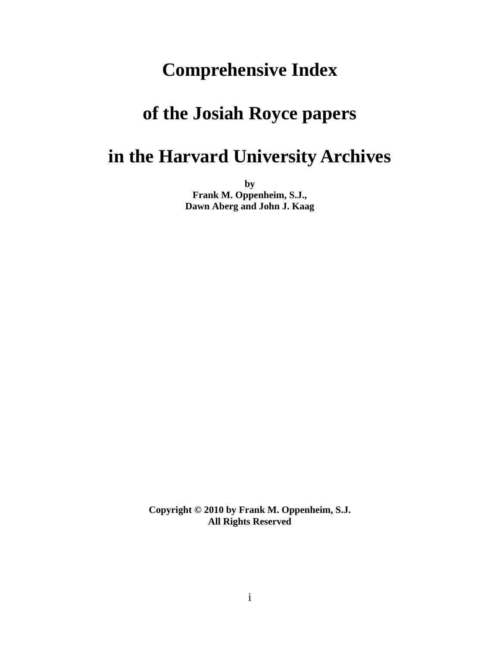## **Comprehensive Index**

## **of the Josiah Royce papers**

### **in the Harvard University Archives**

**by Frank M. Oppenheim, S.J., Dawn Aberg and John J. Kaag** 

**Copyright © 2010 by Frank M. Oppenheim, S.J. All Rights Reserved**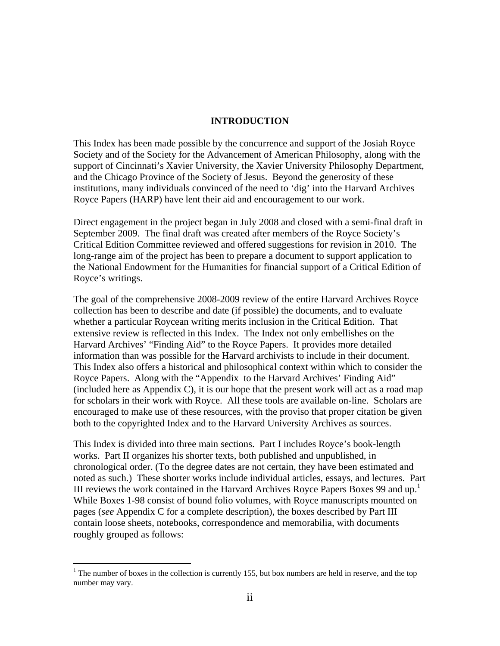#### **INTRODUCTION**

This Index has been made possible by the concurrence and support of the Josiah Royce Society and of the Society for the Advancement of American Philosophy, along with the support of Cincinnati's Xavier University, the Xavier University Philosophy Department, and the Chicago Province of the Society of Jesus. Beyond the generosity of these institutions, many individuals convinced of the need to 'dig' into the Harvard Archives Royce Papers (HARP) have lent their aid and encouragement to our work.

Direct engagement in the project began in July 2008 and closed with a semi-final draft in September 2009. The final draft was created after members of the Royce Society's Critical Edition Committee reviewed and offered suggestions for revision in 2010. The long-range aim of the project has been to prepare a document to support application to the National Endowment for the Humanities for financial support of a Critical Edition of Royce's writings.

The goal of the comprehensive 2008-2009 review of the entire Harvard Archives Royce collection has been to describe and date (if possible) the documents, and to evaluate whether a particular Roycean writing merits inclusion in the Critical Edition. That extensive review is reflected in this Index. The Index not only embellishes on the Harvard Archives' "Finding Aid" to the Royce Papers. It provides more detailed information than was possible for the Harvard archivists to include in their document. This Index also offers a historical and philosophical context within which to consider the Royce Papers. Along with the "Appendix to the Harvard Archives' Finding Aid"  $($ included here as Appendix C), it is our hope that the present work will act as a road mapfor scholars in their work with Royce. All these tools are available on-line. Scholars are encouraged to make use of these resources, with the proviso that proper citation be given both to the copyrighted Index and to the Harvard University Archives as sources.

This Index is divided into three main sections. Part I includes Royce's book-length works. Part II organizes his shorter texts, both published and unpublished, in chronological order. (To the degree dates are not certain, they have been estimated and noted as such.) These shorter works include individual articles, essays, and lectures. Part III reviews the work contained in the Harvard Archives Royce Papers Boxes 99 and up.<sup>1</sup> While Boxes 1-98 consist of bound folio volumes, with Royce manuscripts mounted on pages (*see* Appendix C for a complete description), the boxes described by Part III contain loose sheets, notebooks, correspondence and memorabilia, with documents roughly grouped as follows:

 $\overline{a}$ 

<sup>&</sup>lt;sup>1</sup> The number of boxes in the collection is currently 155, but box numbers are held in reserve, and the top number may vary.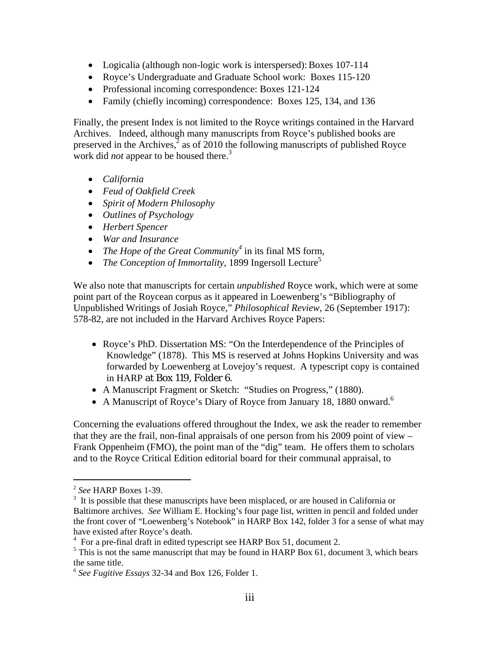- Logicalia (although non-logic work is interspersed): Boxes 107-114
- Royce's Undergraduate and Graduate School work: Boxes 115-120
- Professional incoming correspondence: Boxes 121-124
- Family (chiefly incoming) correspondence: Boxes 125, 134, and 136

Finally, the present Index is not limited to the Royce writings contained in the Harvard Archives. Indeed, although many manuscripts from Royce's published books are preserved in the Archives, $\frac{3}{2}$  as of 2010 the following manuscripts of published Royce work did *not* appear to be housed there.3

- *California*
- *Feud of Oakfield Creek*
- *Spirit of Modern Philosophy*
- *Outlines of Psychology*
- *Herbert Spencer*
- *War and Insurance*
- *The Hope of the Great Community*<sup>4</sup> in its final MS form,
- *The Conception of Immortality*, 1899 Ingersoll Lecture<sup>5</sup>

We also note that manuscripts for certain *unpublished* Royce work, which were at some point part of the Roycean corpus as it appeared in Loewenberg's "Bibliography of Unpublished Writings of Josiah Royce," *Philosophical Review,* 26 (September 1917): 578-82, are not included in the Harvard Archives Royce Papers:

- Royce's PhD. Dissertation MS: "On the Interdependence of the Principles of Knowledge" (1878). This MS is reserved at Johns Hopkins University and was forwarded by Loewenberg at Lovejoy's request. A typescript copy is contained in HARP at Box 119, Folder 6.
- A Manuscript Fragment or Sketch: "Studies on Progress," (1880).
- A Manuscript of Royce's Diary of Royce from January 18, 1880 onward.<sup>6</sup>

Concerning the evaluations offered throughout the Index, we ask the reader to remember that they are the frail, non-final appraisals of one person from his 2009 point of view  $-$ Frank Oppenheim (FMO), the point man of the "dig" team. He offers them to scholars and to the Royce Critical Edition editorial board for their communal appraisal, to

 $\overline{a}$ 

<sup>&</sup>lt;sup>2</sup> *See* HARP Boxes 1-39.

 $3\,$  It is possible that these manuscripts have been misplaced, or are housed in California or Baltimore archives. *See* William E. Hocking's four page list, written in pencil and folded under the front cover of "Loewenberg's Notebook" in HARP Box 142, folder 3 for a sense of what may have existed after Royce's death.

<sup>&</sup>lt;sup>4</sup> For a pre-final draft in edited typescript see HARP Box 51, document 2.<br><sup>5</sup> This is not the same manuscript that may be found in HABP Box 61, does

 $5$  This is not the same manuscript that may be found in HARP Box 61, document 3, which bears the same title.

<sup>6</sup> *See Fugitive Essays* 32-34 and Box 126, Folder 1.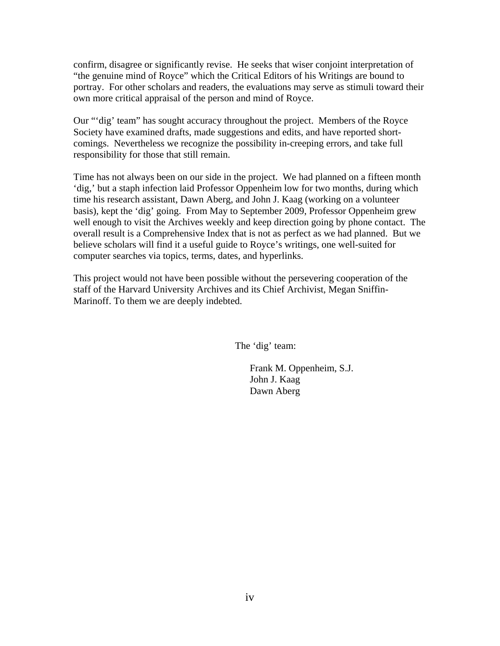confirm, disagree or significantly revise. He seeks that wiser conjoint interpretation of "the genuine mind of Royce" which the Critical Editors of his Writings are bound to portray. For other scholars and readers, the evaluations may serve as stimuli toward their own more critical appraisal of the person and mind of Royce.

Our "'dig' team" has sought accuracy throughout the project. Members of the Royce Society have examined drafts, made suggestions and edits, and have reported shortcomings. Nevertheless we recognize the possibility in-creeping errors, and take full responsibility for those that still remain.

Time has not always been on our side in the project. We had planned on a fifteen month 'dig,' but a staph infection laid Professor Oppenheim low for two months, during which time his research assistant, Dawn Aberg, and John J. Kaag (working on a volunteer basis), kept the 'dig' going. From May to September 2009, Professor Oppenheim grew well enough to visit the Archives weekly and keep direction going by phone contact. The overall result is a Comprehensive Index that is not as perfect as we had planned. But we believe scholars will find it a useful guide to Royce's writings, one well-suited for computer searches via topics, terms, dates, and hyperlinks.

This project would not have been possible without the persevering cooperation of the staff of the Harvard University Archives and its Chief Archivist, Megan Sniffin-Marinoff. To them we are deeply indebted.

The 'dig' team:

 Frank M. Oppenheim, S.J. John J. Kaag Dawn Aberg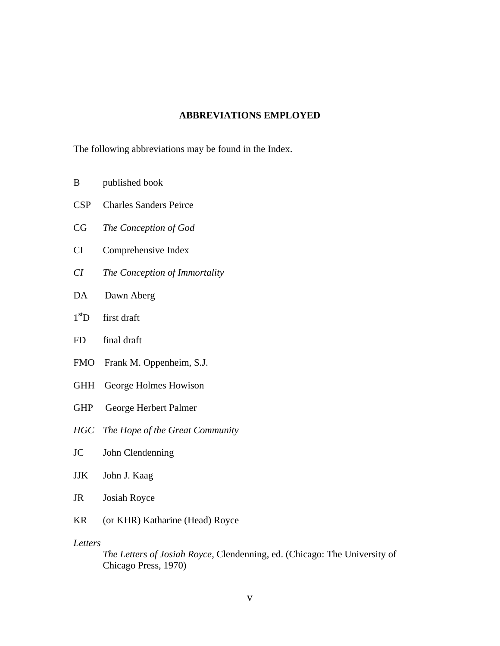#### **ABBREVIATIONS EMPLOYED**

The following abbreviations may be found in the Index.

- B published book
- CSP Charles Sanders Peirce
- CG *The Conception of God*
- CI Comprehensive Index
- *CI The Conception of Immortality*
- DA Dawn Aberg
- $1<sup>st</sup>D$  first draft
- FD final draft
- FMO Frank M. Oppenheim, S.J.
- GHH George Holmes Howison
- GHP George Herbert Palmer
- *HGC The Hope of the Great Community*
- JC John Clendenning
- JJK John J. Kaag
- JR Josiah Royce
- KR (or KHR) Katharine (Head) Royce

*Letters*

*The Letters of Josiah Royce*, Clendenning, ed. (Chicago: The University of Chicago Press, 1970)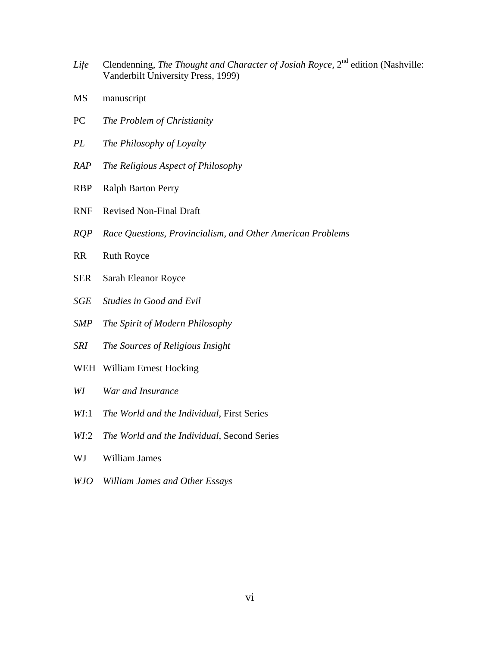- *Life* Clendenning, *The Thought and Character of Josiah Royce*, 2<sup>nd</sup> edition (Nashville: Vanderbilt University Press, 1999)
- MS manuscript
- PC *The Problem of Christianity*
- *PL The Philosophy of Loyalty*
- *RAP The Religious Aspect of Philosophy*
- RBP Ralph Barton Perry
- RNF Revised Non-Final Draft
- *RQP Race Questions, Provincialism, and Other American Problems*
- RR Ruth Royce
- SER Sarah Eleanor Royce
- *SGE Studies in Good and Evil*
- *SMP The Spirit of Modern Philosophy*
- *SRI The Sources of Religious Insight*
- WEH William Ernest Hocking
- *WI War and Insurance*
- *WI*:1 *The World and the Individual*, First Series
- *WI*:2 *The World and the Individual*, Second Series
- WJ William James
- *WJO William James and Other Essays*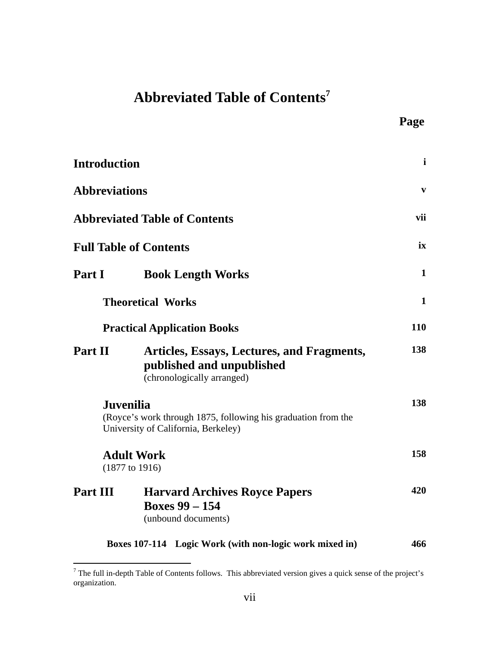### **Abbreviated Table of Contents7**

**Page**

| <b>Introduction</b>  |                                                                                                       | $\mathbf{i}$ |
|----------------------|-------------------------------------------------------------------------------------------------------|--------------|
| <b>Abbreviations</b> |                                                                                                       | $\mathbf{v}$ |
|                      | <b>Abbreviated Table of Contents</b>                                                                  | vii          |
|                      | <b>Full Table of Contents</b>                                                                         | ix           |
| Part I               | <b>Book Length Works</b>                                                                              | $\mathbf{1}$ |
|                      | <b>Theoretical Works</b>                                                                              | $\mathbf{1}$ |
|                      | <b>Practical Application Books</b>                                                                    | <b>110</b>   |
| Part II              | Articles, Essays, Lectures, and Fragments,<br>published and unpublished<br>(chronologically arranged) | 138          |
| <b>Juvenilia</b>     | (Royce's work through 1875, following his graduation from the<br>University of California, Berkeley)  | 138          |
|                      | <b>Adult Work</b><br>$(1877$ to 1916)                                                                 | 158          |
| Part III             | <b>Harvard Archives Royce Papers</b><br><b>Boxes 99 - 154</b><br>(unbound documents)                  | 420          |
|                      | Boxes 107-114 Logic Work (with non-logic work mixed in)                                               | 466          |

<sup>&</sup>lt;sup>7</sup> The full in-depth Table of Contents follows. This abbreviated version gives a quick sense of the project's organization.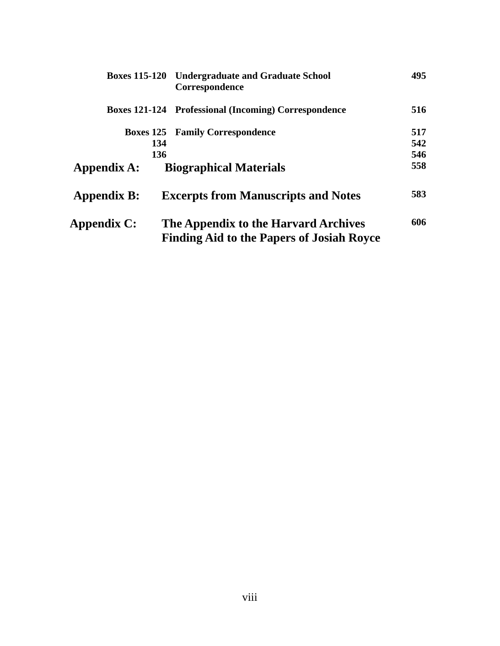|                    | <b>Boxes 115-120 Undergraduate and Graduate School</b><br>Correspondence | 495 |
|--------------------|--------------------------------------------------------------------------|-----|
|                    | <b>Boxes 121-124 Professional (Incoming) Correspondence</b>              | 516 |
|                    | <b>Boxes 125 Family Correspondence</b>                                   | 517 |
| 134                |                                                                          | 542 |
| 136                |                                                                          | 546 |
| Appendix A:        | <b>Biographical Materials</b>                                            | 558 |
| <b>Appendix B:</b> | <b>Excerpts from Manuscripts and Notes</b>                               | 583 |
| Appendix C:        | The Appendix to the Harvard Archives                                     | 606 |
|                    | <b>Finding Aid to the Papers of Josiah Royce</b>                         |     |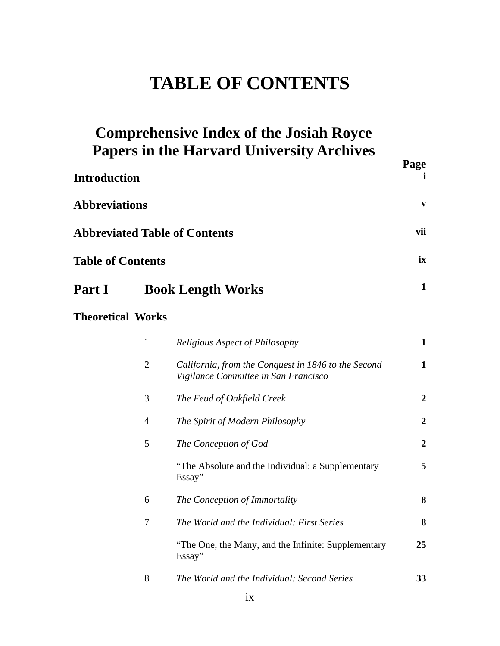# **TABLE OF CONTENTS**

|                          |                | <b>Comprehensive Index of the Josiah Royce</b><br><b>Papers in the Harvard University Archives</b> | Page           |
|--------------------------|----------------|----------------------------------------------------------------------------------------------------|----------------|
| <b>Introduction</b>      |                |                                                                                                    | Ť.             |
| <b>Abbreviations</b>     |                |                                                                                                    | V              |
|                          |                | <b>Abbreviated Table of Contents</b>                                                               | vii            |
| <b>Table of Contents</b> |                |                                                                                                    | ix             |
| Part I                   |                | <b>Book Length Works</b>                                                                           | $\mathbf 1$    |
| <b>Theoretical Works</b> |                |                                                                                                    |                |
|                          | $\mathbf{1}$   | <b>Religious Aspect of Philosophy</b>                                                              | $\mathbf 1$    |
|                          | $\overline{2}$ | California, from the Conquest in 1846 to the Second<br>Vigilance Committee in San Francisco        | $\mathbf 1$    |
|                          | 3              | The Feud of Oakfield Creek                                                                         | $\overline{2}$ |
|                          | $\overline{4}$ | The Spirit of Modern Philosophy                                                                    | $\overline{2}$ |
|                          | 5              | The Conception of God                                                                              | $\overline{2}$ |
|                          |                | "The Absolute and the Individual: a Supplementary<br>Essay"                                        | 5              |
|                          | 6              | The Conception of Immortality                                                                      | 8              |
|                          | 7              | The World and the Individual: First Series                                                         | 8              |
|                          |                | "The One, the Many, and the Infinite: Supplementary<br>Essay"                                      | 25             |
|                          | 8              | The World and the Individual: Second Series                                                        | 33             |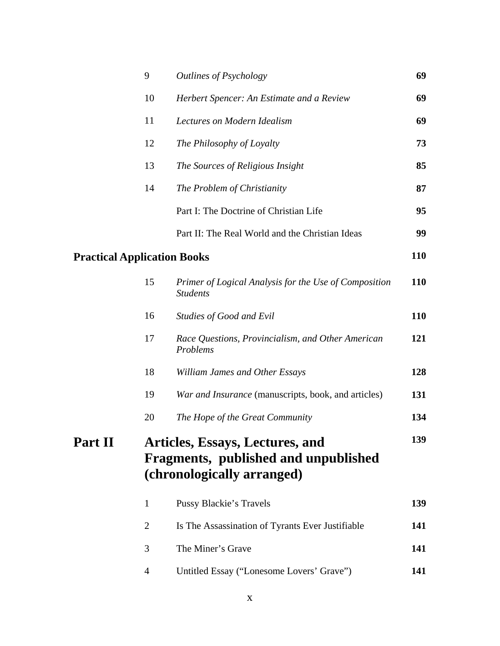|                                    | 9            | Outlines of Psychology                                                                                       | 69         |
|------------------------------------|--------------|--------------------------------------------------------------------------------------------------------------|------------|
|                                    | 10           | Herbert Spencer: An Estimate and a Review                                                                    | 69         |
|                                    | 11           | Lectures on Modern Idealism                                                                                  | 69         |
|                                    | 12           | The Philosophy of Loyalty                                                                                    | 73         |
|                                    | 13           | The Sources of Religious Insight                                                                             | 85         |
|                                    | 14           | The Problem of Christianity                                                                                  | 87         |
|                                    |              | Part I: The Doctrine of Christian Life                                                                       | 95         |
|                                    |              | Part II: The Real World and the Christian Ideas                                                              | 99         |
| <b>Practical Application Books</b> |              |                                                                                                              | <b>110</b> |
|                                    | 15           | Primer of Logical Analysis for the Use of Composition<br><b>Students</b>                                     | <b>110</b> |
|                                    | 16           | Studies of Good and Evil                                                                                     | <b>110</b> |
|                                    | 17           | Race Questions, Provincialism, and Other American<br>Problems                                                | 121        |
|                                    | 18           | William James and Other Essays                                                                               | 128        |
|                                    | 19           | War and Insurance (manuscripts, book, and articles)                                                          | 131        |
|                                    | 20           | The Hope of the Great Community                                                                              | 134        |
| <b>Part II</b>                     |              | <b>Articles, Essays, Lectures, and</b><br>Fragments, published and unpublished<br>(chronologically arranged) | 139        |
|                                    | $\mathbf{1}$ | <b>Pussy Blackie's Travels</b>                                                                               | 139        |
|                                    | 2            | Is The Assassination of Tyrants Ever Justifiable                                                             | 141        |
|                                    | 3            | The Miner's Grave                                                                                            | 141        |
|                                    | 4            | Untitled Essay ("Lonesome Lovers' Grave")                                                                    | 141        |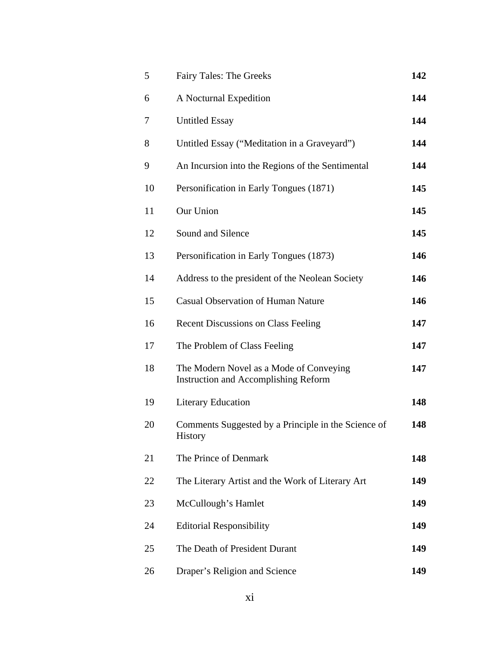| 5  | <b>Fairy Tales: The Greeks</b>                                                         | 142 |
|----|----------------------------------------------------------------------------------------|-----|
| 6  | A Nocturnal Expedition                                                                 | 144 |
| 7  | <b>Untitled Essay</b>                                                                  | 144 |
| 8  | Untitled Essay ("Meditation in a Graveyard")                                           | 144 |
| 9  | An Incursion into the Regions of the Sentimental                                       | 144 |
| 10 | Personification in Early Tongues (1871)                                                | 145 |
| 11 | Our Union                                                                              | 145 |
| 12 | Sound and Silence                                                                      | 145 |
| 13 | Personification in Early Tongues (1873)                                                | 146 |
| 14 | Address to the president of the Neolean Society                                        | 146 |
| 15 | <b>Casual Observation of Human Nature</b>                                              | 146 |
| 16 | <b>Recent Discussions on Class Feeling</b>                                             | 147 |
| 17 | The Problem of Class Feeling                                                           | 147 |
| 18 | The Modern Novel as a Mode of Conveying<br><b>Instruction and Accomplishing Reform</b> | 147 |
| 19 | <b>Literary Education</b>                                                              | 148 |
| 20 | Comments Suggested by a Principle in the Science of<br>History                         | 148 |
| 21 | The Prince of Denmark                                                                  | 148 |
| 22 | The Literary Artist and the Work of Literary Art                                       | 149 |
| 23 | McCullough's Hamlet                                                                    | 149 |
| 24 | <b>Editorial Responsibility</b>                                                        | 149 |
| 25 | The Death of President Durant                                                          | 149 |
| 26 | Draper's Religion and Science                                                          | 149 |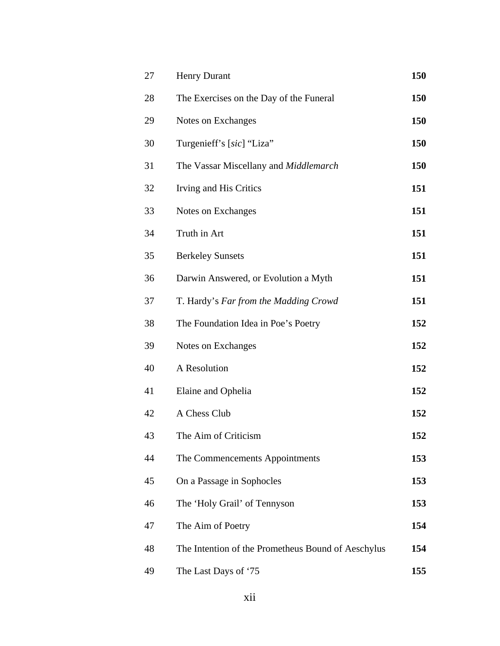| 27 | <b>Henry Durant</b>                                | 150 |
|----|----------------------------------------------------|-----|
| 28 | The Exercises on the Day of the Funeral            | 150 |
| 29 | Notes on Exchanges                                 | 150 |
| 30 | Turgenieff's [sic] "Liza"                          | 150 |
| 31 | The Vassar Miscellany and Middlemarch              | 150 |
| 32 | Irving and His Critics                             | 151 |
| 33 | Notes on Exchanges                                 | 151 |
| 34 | Truth in Art                                       | 151 |
| 35 | <b>Berkeley Sunsets</b>                            | 151 |
| 36 | Darwin Answered, or Evolution a Myth               | 151 |
| 37 | T. Hardy's Far from the Madding Crowd              | 151 |
| 38 | The Foundation Idea in Poe's Poetry                | 152 |
| 39 | Notes on Exchanges                                 | 152 |
| 40 | A Resolution                                       | 152 |
| 41 | Elaine and Ophelia                                 | 152 |
| 42 | A Chess Club                                       | 152 |
| 43 | The Aim of Criticism                               | 152 |
| 44 | The Commencements Appointments                     | 153 |
| 45 | On a Passage in Sophocles                          | 153 |
| 46 | The 'Holy Grail' of Tennyson                       | 153 |
| 47 | The Aim of Poetry                                  | 154 |
| 48 | The Intention of the Prometheus Bound of Aeschylus | 154 |
| 49 | The Last Days of '75                               | 155 |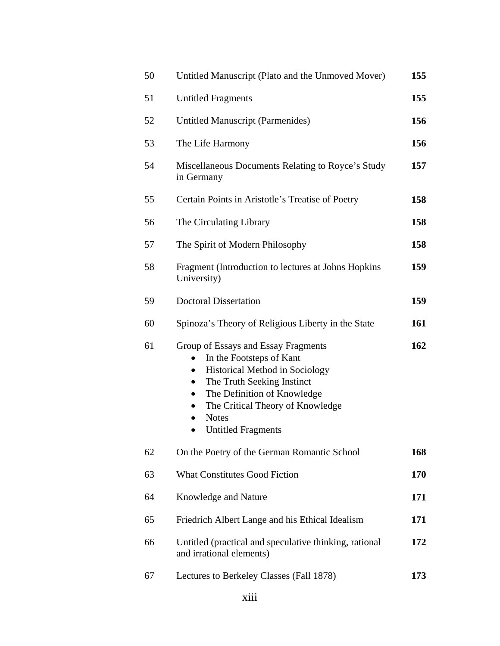| 50 | Untitled Manuscript (Plato and the Unmoved Mover)                                                                                                                                                                                                                                                                       | 155 |
|----|-------------------------------------------------------------------------------------------------------------------------------------------------------------------------------------------------------------------------------------------------------------------------------------------------------------------------|-----|
| 51 | <b>Untitled Fragments</b>                                                                                                                                                                                                                                                                                               | 155 |
| 52 | <b>Untitled Manuscript (Parmenides)</b>                                                                                                                                                                                                                                                                                 | 156 |
| 53 | The Life Harmony                                                                                                                                                                                                                                                                                                        | 156 |
| 54 | Miscellaneous Documents Relating to Royce's Study<br>in Germany                                                                                                                                                                                                                                                         | 157 |
| 55 | Certain Points in Aristotle's Treatise of Poetry                                                                                                                                                                                                                                                                        | 158 |
| 56 | The Circulating Library                                                                                                                                                                                                                                                                                                 | 158 |
| 57 | The Spirit of Modern Philosophy                                                                                                                                                                                                                                                                                         | 158 |
| 58 | Fragment (Introduction to lectures at Johns Hopkins<br>University)                                                                                                                                                                                                                                                      | 159 |
| 59 | <b>Doctoral Dissertation</b>                                                                                                                                                                                                                                                                                            | 159 |
| 60 | Spinoza's Theory of Religious Liberty in the State                                                                                                                                                                                                                                                                      | 161 |
| 61 | Group of Essays and Essay Fragments<br>In the Footsteps of Kant<br>$\bullet$<br><b>Historical Method in Sociology</b><br>$\bullet$<br>The Truth Seeking Instinct<br>$\bullet$<br>The Definition of Knowledge<br>$\bullet$<br>The Critical Theory of Knowledge<br><b>Notes</b><br>$\bullet$<br><b>Untitled Fragments</b> | 162 |
| 62 | On the Poetry of the German Romantic School                                                                                                                                                                                                                                                                             | 168 |
| 63 | <b>What Constitutes Good Fiction</b>                                                                                                                                                                                                                                                                                    | 170 |
| 64 | Knowledge and Nature                                                                                                                                                                                                                                                                                                    | 171 |
| 65 | Friedrich Albert Lange and his Ethical Idealism                                                                                                                                                                                                                                                                         | 171 |
| 66 | Untitled (practical and speculative thinking, rational<br>and irrational elements)                                                                                                                                                                                                                                      | 172 |
| 67 | Lectures to Berkeley Classes (Fall 1878)                                                                                                                                                                                                                                                                                | 173 |
|    |                                                                                                                                                                                                                                                                                                                         |     |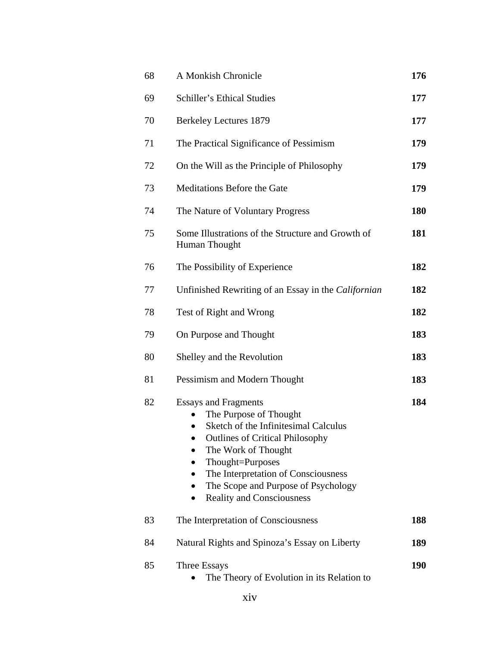| 68 | A Monkish Chronicle                                                                                                                                                                                                                                                                                               | 176        |
|----|-------------------------------------------------------------------------------------------------------------------------------------------------------------------------------------------------------------------------------------------------------------------------------------------------------------------|------------|
| 69 | Schiller's Ethical Studies                                                                                                                                                                                                                                                                                        | 177        |
| 70 | <b>Berkeley Lectures 1879</b>                                                                                                                                                                                                                                                                                     | 177        |
| 71 | The Practical Significance of Pessimism                                                                                                                                                                                                                                                                           | 179        |
| 72 | On the Will as the Principle of Philosophy                                                                                                                                                                                                                                                                        | 179        |
| 73 | Meditations Before the Gate                                                                                                                                                                                                                                                                                       | 179        |
| 74 | The Nature of Voluntary Progress                                                                                                                                                                                                                                                                                  | 180        |
| 75 | Some Illustrations of the Structure and Growth of<br>Human Thought                                                                                                                                                                                                                                                | 181        |
| 76 | The Possibility of Experience                                                                                                                                                                                                                                                                                     | 182        |
| 77 | Unfinished Rewriting of an Essay in the Californian                                                                                                                                                                                                                                                               | 182        |
| 78 | Test of Right and Wrong                                                                                                                                                                                                                                                                                           | 182        |
| 79 | On Purpose and Thought                                                                                                                                                                                                                                                                                            | 183        |
| 80 | Shelley and the Revolution                                                                                                                                                                                                                                                                                        | 183        |
| 81 | Pessimism and Modern Thought                                                                                                                                                                                                                                                                                      | 183        |
| 82 | <b>Essays and Fragments</b><br>The Purpose of Thought<br>Sketch of the Infinitesimal Calculus<br><b>Outlines of Critical Philosophy</b><br>The Work of Thought<br>Thought=Purposes<br>The Interpretation of Consciousness<br>The Scope and Purpose of Psychology<br>$\bullet$<br><b>Reality and Consciousness</b> | 184        |
| 83 | The Interpretation of Consciousness                                                                                                                                                                                                                                                                               | 188        |
| 84 | Natural Rights and Spinoza's Essay on Liberty                                                                                                                                                                                                                                                                     | 189        |
| 85 | Three Essays<br>The Theory of Evolution in its Relation to                                                                                                                                                                                                                                                        | <b>190</b> |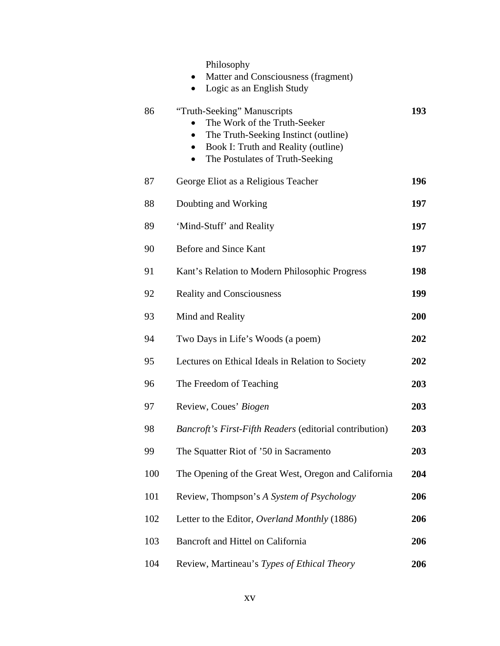|     | Philosophy<br>Matter and Consciousness (fragment)<br>$\bullet$<br>Logic as an English Study                                                                                                                          |     |
|-----|----------------------------------------------------------------------------------------------------------------------------------------------------------------------------------------------------------------------|-----|
| 86  | "Truth-Seeking" Manuscripts<br>The Work of the Truth-Seeker<br>The Truth-Seeking Instinct (outline)<br>$\bullet$<br>Book I: Truth and Reality (outline)<br>$\bullet$<br>The Postulates of Truth-Seeking<br>$\bullet$ | 193 |
| 87  | George Eliot as a Religious Teacher                                                                                                                                                                                  | 196 |
| 88  | Doubting and Working                                                                                                                                                                                                 | 197 |
| 89  | 'Mind-Stuff' and Reality                                                                                                                                                                                             | 197 |
| 90  | Before and Since Kant                                                                                                                                                                                                | 197 |
| 91  | Kant's Relation to Modern Philosophic Progress                                                                                                                                                                       | 198 |
| 92  | <b>Reality and Consciousness</b>                                                                                                                                                                                     | 199 |
| 93  | Mind and Reality                                                                                                                                                                                                     | 200 |
| 94  | Two Days in Life's Woods (a poem)                                                                                                                                                                                    | 202 |
| 95  | Lectures on Ethical Ideals in Relation to Society                                                                                                                                                                    | 202 |
| 96  | The Freedom of Teaching                                                                                                                                                                                              | 203 |
| 97  | Review, Coues' Biogen                                                                                                                                                                                                | 203 |
| 98  | Bancroft's First-Fifth Readers (editorial contribution)                                                                                                                                                              | 203 |
| 99  | The Squatter Riot of '50 in Sacramento                                                                                                                                                                               | 203 |
| 100 | The Opening of the Great West, Oregon and California                                                                                                                                                                 | 204 |
| 101 | Review, Thompson's A System of Psychology                                                                                                                                                                            | 206 |
| 102 | Letter to the Editor, Overland Monthly (1886)                                                                                                                                                                        | 206 |
| 103 | Bancroft and Hittel on California                                                                                                                                                                                    | 206 |
| 104 | Review, Martineau's Types of Ethical Theory                                                                                                                                                                          | 206 |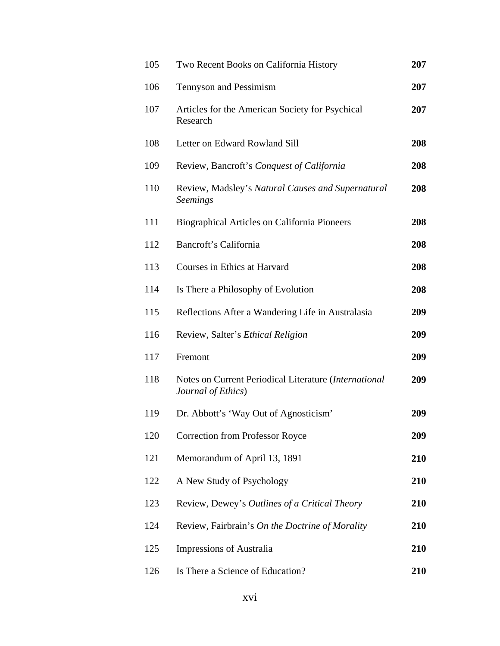| 105 | Two Recent Books on California History                                      | 207 |
|-----|-----------------------------------------------------------------------------|-----|
| 106 | Tennyson and Pessimism                                                      | 207 |
| 107 | Articles for the American Society for Psychical<br>Research                 | 207 |
| 108 | Letter on Edward Rowland Sill                                               | 208 |
| 109 | Review, Bancroft's Conquest of California                                   | 208 |
| 110 | Review, Madsley's Natural Causes and Supernatural<br><b>Seemings</b>        | 208 |
| 111 | Biographical Articles on California Pioneers                                | 208 |
| 112 | Bancroft's California                                                       | 208 |
| 113 | Courses in Ethics at Harvard                                                | 208 |
| 114 | Is There a Philosophy of Evolution                                          | 208 |
| 115 | Reflections After a Wandering Life in Australasia                           | 209 |
| 116 | Review, Salter's Ethical Religion                                           | 209 |
| 117 | Fremont                                                                     | 209 |
| 118 | Notes on Current Periodical Literature (International<br>Journal of Ethics) | 209 |
| 119 | Dr. Abbott's 'Way Out of Agnosticism'                                       | 209 |
| 120 | <b>Correction from Professor Royce</b>                                      | 209 |
| 121 | Memorandum of April 13, 1891                                                | 210 |
| 122 | A New Study of Psychology                                                   | 210 |
| 123 | Review, Dewey's Outlines of a Critical Theory                               | 210 |
| 124 | Review, Fairbrain's On the Doctrine of Morality                             | 210 |
| 125 | Impressions of Australia                                                    | 210 |
| 126 | Is There a Science of Education?                                            | 210 |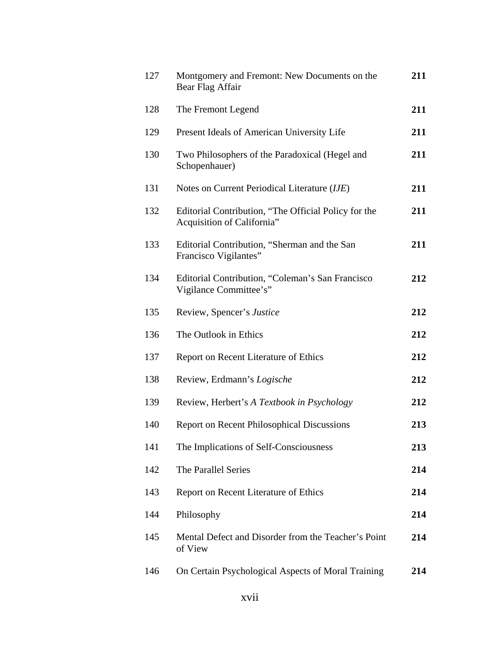| 127 | Montgomery and Fremont: New Documents on the<br>Bear Flag Affair                   | 211 |
|-----|------------------------------------------------------------------------------------|-----|
| 128 | The Fremont Legend                                                                 | 211 |
| 129 | Present Ideals of American University Life                                         | 211 |
| 130 | Two Philosophers of the Paradoxical (Hegel and<br>Schopenhauer)                    | 211 |
| 131 | Notes on Current Periodical Literature (IJE)                                       | 211 |
| 132 | Editorial Contribution, "The Official Policy for the<br>Acquisition of California" | 211 |
| 133 | Editorial Contribution, "Sherman and the San<br>Francisco Vigilantes"              | 211 |
| 134 | Editorial Contribution, "Coleman's San Francisco<br>Vigilance Committee's"         | 212 |
| 135 | Review, Spencer's Justice                                                          | 212 |
| 136 | The Outlook in Ethics                                                              | 212 |
| 137 | Report on Recent Literature of Ethics                                              | 212 |
| 138 | Review, Erdmann's Logische                                                         | 212 |
| 139 | Review, Herbert's A Textbook in Psychology                                         | 212 |
| 140 | <b>Report on Recent Philosophical Discussions</b>                                  | 213 |
| 141 | The Implications of Self-Consciousness                                             | 213 |
| 142 | The Parallel Series                                                                | 214 |
| 143 | Report on Recent Literature of Ethics                                              | 214 |
| 144 | Philosophy                                                                         | 214 |
| 145 | Mental Defect and Disorder from the Teacher's Point<br>of View                     | 214 |
| 146 | On Certain Psychological Aspects of Moral Training                                 | 214 |
|     |                                                                                    |     |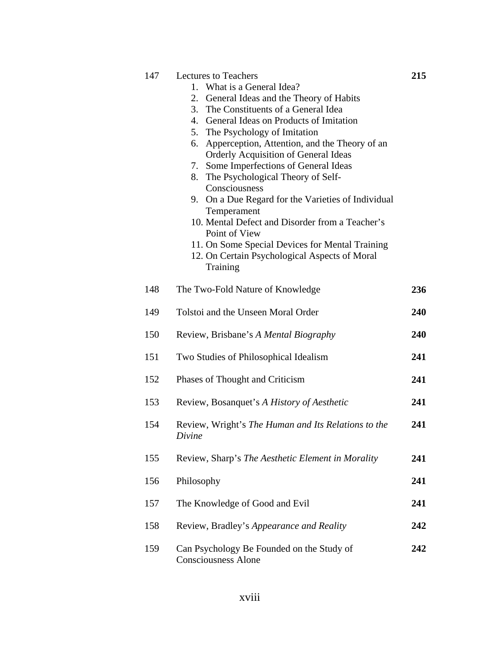| 147 | <b>Lectures to Teachers</b>                                             | 215        |
|-----|-------------------------------------------------------------------------|------------|
|     | 1. What is a General Idea?                                              |            |
|     | General Ideas and the Theory of Habits<br>2.                            |            |
|     | 3. The Constituents of a General Idea                                   |            |
|     | 4. General Ideas on Products of Imitation                               |            |
|     | The Psychology of Imitation<br>5.                                       |            |
|     | 6. Apperception, Attention, and the Theory of an                        |            |
|     | <b>Orderly Acquisition of General Ideas</b>                             |            |
|     | Some Imperfections of General Ideas<br>7.                               |            |
|     | 8. The Psychological Theory of Self-<br>Consciousness                   |            |
|     |                                                                         |            |
|     | 9. On a Due Regard for the Varieties of Individual                      |            |
|     | Temperament<br>10. Mental Defect and Disorder from a Teacher's          |            |
|     | Point of View                                                           |            |
|     | 11. On Some Special Devices for Mental Training                         |            |
|     | 12. On Certain Psychological Aspects of Moral                           |            |
|     | Training                                                                |            |
|     |                                                                         |            |
| 148 | The Two-Fold Nature of Knowledge                                        | 236        |
|     |                                                                         |            |
| 149 | Tolstoi and the Unseen Moral Order                                      | <b>240</b> |
|     |                                                                         |            |
| 150 | Review, Brisbane's A Mental Biography                                   | 240        |
|     |                                                                         |            |
| 151 | Two Studies of Philosophical Idealism                                   | 241        |
| 152 | Phases of Thought and Criticism                                         | 241        |
|     |                                                                         |            |
| 153 | Review, Bosanquet's A History of Aesthetic                              | 241        |
|     |                                                                         |            |
| 154 | Review, Wright's The Human and Its Relations to the                     | 241        |
|     | Divine                                                                  |            |
|     |                                                                         |            |
| 155 | Review, Sharp's The Aesthetic Element in Morality                       | 241        |
|     |                                                                         |            |
| 156 | Philosophy                                                              | 241        |
|     |                                                                         |            |
| 157 | The Knowledge of Good and Evil                                          | 241        |
|     |                                                                         |            |
| 158 | Review, Bradley's Appearance and Reality                                | 242        |
| 159 |                                                                         | 242        |
|     | Can Psychology Be Founded on the Study of<br><b>Consciousness Alone</b> |            |
|     |                                                                         |            |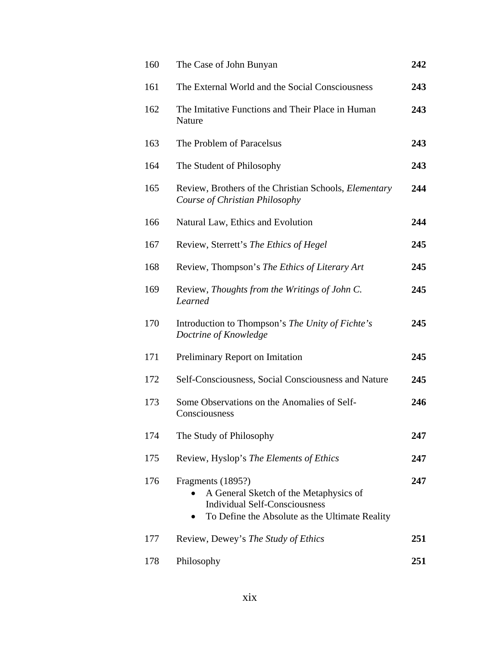| 160 | The Case of John Bunyan                                                                                                                                            | 242 |
|-----|--------------------------------------------------------------------------------------------------------------------------------------------------------------------|-----|
| 161 | The External World and the Social Consciousness                                                                                                                    | 243 |
| 162 | The Imitative Functions and Their Place in Human<br>Nature                                                                                                         | 243 |
| 163 | The Problem of Paracelsus                                                                                                                                          | 243 |
| 164 | The Student of Philosophy                                                                                                                                          | 243 |
| 165 | Review, Brothers of the Christian Schools, Elementary<br>Course of Christian Philosophy                                                                            | 244 |
| 166 | Natural Law, Ethics and Evolution                                                                                                                                  | 244 |
| 167 | Review, Sterrett's The Ethics of Hegel                                                                                                                             | 245 |
| 168 | Review, Thompson's The Ethics of Literary Art                                                                                                                      | 245 |
| 169 | Review, Thoughts from the Writings of John C.<br>Learned                                                                                                           | 245 |
| 170 | Introduction to Thompson's The Unity of Fichte's<br>Doctrine of Knowledge                                                                                          | 245 |
| 171 | Preliminary Report on Imitation                                                                                                                                    | 245 |
| 172 | Self-Consciousness, Social Consciousness and Nature                                                                                                                | 245 |
| 173 | Some Observations on the Anomalies of Self-<br>Consciousness                                                                                                       | 246 |
| 174 | The Study of Philosophy                                                                                                                                            | 247 |
| 175 | Review, Hyslop's The Elements of Ethics                                                                                                                            | 247 |
| 176 | Fragments (1895?)<br>A General Sketch of the Metaphysics of<br><b>Individual Self-Consciousness</b><br>To Define the Absolute as the Ultimate Reality<br>$\bullet$ | 247 |
| 177 | Review, Dewey's The Study of Ethics                                                                                                                                | 251 |
| 178 | Philosophy                                                                                                                                                         | 251 |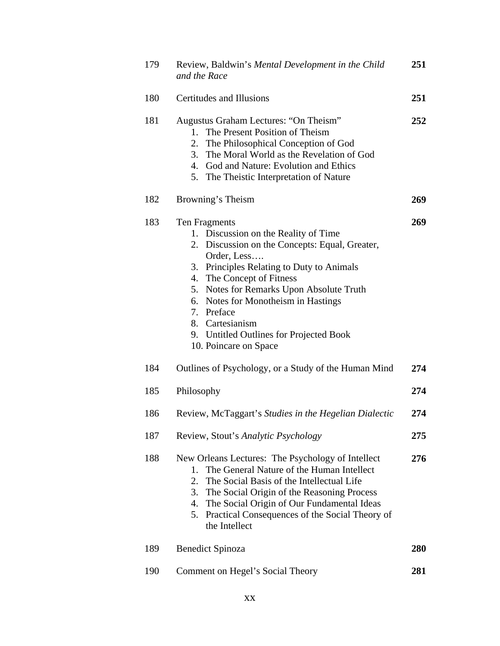| 179 |                                 | Review, Baldwin's Mental Development in the Child<br>and the Race                                                                                                                                                                                                                                                                                                                     | 251 |
|-----|---------------------------------|---------------------------------------------------------------------------------------------------------------------------------------------------------------------------------------------------------------------------------------------------------------------------------------------------------------------------------------------------------------------------------------|-----|
| 180 |                                 | Certitudes and Illusions                                                                                                                                                                                                                                                                                                                                                              | 251 |
| 181 | $1_{-}$<br>2.<br>3.             | Augustus Graham Lectures: "On Theism"<br>The Present Position of Theism<br>The Philosophical Conception of God<br>The Moral World as the Revelation of God<br>4. God and Nature: Evolution and Ethics<br>5. The Theistic Interpretation of Nature                                                                                                                                     | 252 |
| 182 |                                 | Browning's Theism                                                                                                                                                                                                                                                                                                                                                                     | 269 |
| 183 | 4.                              | Ten Fragments<br>1. Discussion on the Reality of Time<br>2. Discussion on the Concepts: Equal, Greater,<br>Order, Less<br>3. Principles Relating to Duty to Animals<br>The Concept of Fitness<br>5. Notes for Remarks Upon Absolute Truth<br>6. Notes for Monotheism in Hastings<br>7. Preface<br>8. Cartesianism<br>9. Untitled Outlines for Projected Book<br>10. Poincare on Space | 269 |
| 184 |                                 | Outlines of Psychology, or a Study of the Human Mind                                                                                                                                                                                                                                                                                                                                  | 274 |
| 185 | Philosophy                      |                                                                                                                                                                                                                                                                                                                                                                                       | 274 |
| 186 |                                 | Review, McTaggart's Studies in the Hegelian Dialectic                                                                                                                                                                                                                                                                                                                                 | 274 |
| 187 |                                 | Review, Stout's Analytic Psychology                                                                                                                                                                                                                                                                                                                                                   | 275 |
| 188 | $1_{-}$<br>2.<br>3.<br>4.<br>5. | New Orleans Lectures: The Psychology of Intellect<br>The General Nature of the Human Intellect<br>The Social Basis of the Intellectual Life<br>The Social Origin of the Reasoning Process<br>The Social Origin of Our Fundamental Ideas<br>Practical Consequences of the Social Theory of<br>the Intellect                                                                            | 276 |
| 189 |                                 | <b>Benedict Spinoza</b>                                                                                                                                                                                                                                                                                                                                                               | 280 |
| 190 |                                 | Comment on Hegel's Social Theory                                                                                                                                                                                                                                                                                                                                                      | 281 |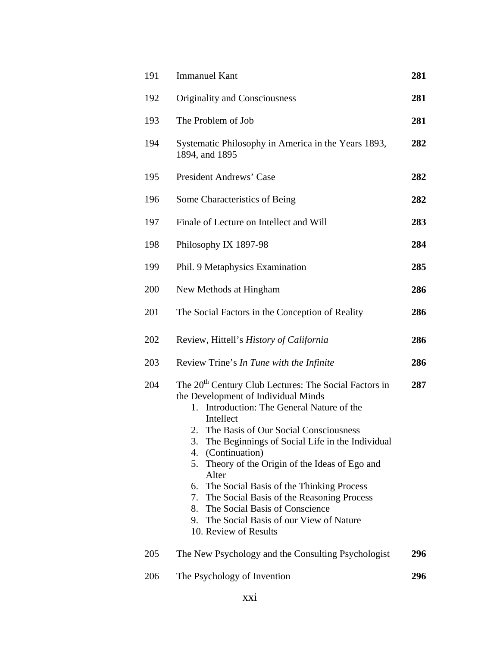| 191 | <b>Immanuel Kant</b>                                                                                                                                                                                                                                                                                                                                                                                                                                                                                                                                                            | 281 |
|-----|---------------------------------------------------------------------------------------------------------------------------------------------------------------------------------------------------------------------------------------------------------------------------------------------------------------------------------------------------------------------------------------------------------------------------------------------------------------------------------------------------------------------------------------------------------------------------------|-----|
| 192 | <b>Originality and Consciousness</b>                                                                                                                                                                                                                                                                                                                                                                                                                                                                                                                                            | 281 |
| 193 | The Problem of Job                                                                                                                                                                                                                                                                                                                                                                                                                                                                                                                                                              | 281 |
| 194 | Systematic Philosophy in America in the Years 1893,<br>1894, and 1895                                                                                                                                                                                                                                                                                                                                                                                                                                                                                                           | 282 |
| 195 | President Andrews' Case                                                                                                                                                                                                                                                                                                                                                                                                                                                                                                                                                         | 282 |
| 196 | Some Characteristics of Being                                                                                                                                                                                                                                                                                                                                                                                                                                                                                                                                                   | 282 |
| 197 | Finale of Lecture on Intellect and Will                                                                                                                                                                                                                                                                                                                                                                                                                                                                                                                                         | 283 |
| 198 | Philosophy IX 1897-98                                                                                                                                                                                                                                                                                                                                                                                                                                                                                                                                                           | 284 |
| 199 | Phil. 9 Metaphysics Examination                                                                                                                                                                                                                                                                                                                                                                                                                                                                                                                                                 | 285 |
| 200 | New Methods at Hingham                                                                                                                                                                                                                                                                                                                                                                                                                                                                                                                                                          | 286 |
| 201 | The Social Factors in the Conception of Reality                                                                                                                                                                                                                                                                                                                                                                                                                                                                                                                                 | 286 |
| 202 | Review, Hittell's History of California                                                                                                                                                                                                                                                                                                                                                                                                                                                                                                                                         | 286 |
| 203 | Review Trine's In Tune with the Infinite                                                                                                                                                                                                                                                                                                                                                                                                                                                                                                                                        | 286 |
| 204 | The 20 <sup>th</sup> Century Club Lectures: The Social Factors in<br>the Development of Individual Minds<br>1. Introduction: The General Nature of the<br>Intellect<br>2. The Basis of Our Social Consciousness<br>The Beginnings of Social Life in the Individual<br>3.<br>(Continuation)<br>4.<br>Theory of the Origin of the Ideas of Ego and<br>5.<br>Alter<br>6. The Social Basis of the Thinking Process<br>The Social Basis of the Reasoning Process<br>7.<br>The Social Basis of Conscience<br>8.<br>9. The Social Basis of our View of Nature<br>10. Review of Results | 287 |
| 205 | The New Psychology and the Consulting Psychologist                                                                                                                                                                                                                                                                                                                                                                                                                                                                                                                              | 296 |
| 206 | The Psychology of Invention                                                                                                                                                                                                                                                                                                                                                                                                                                                                                                                                                     | 296 |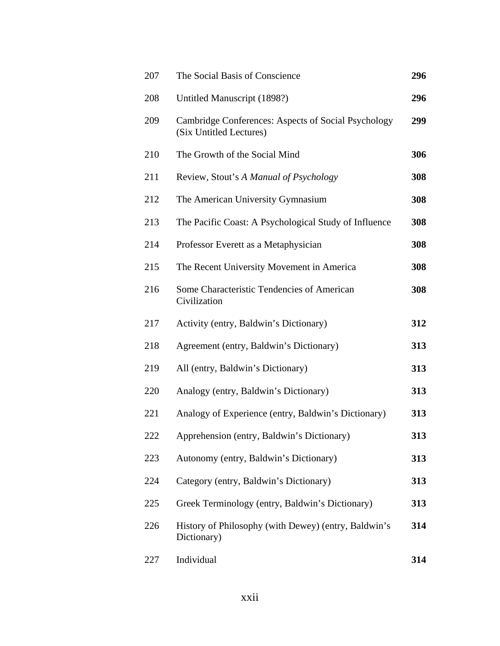| 207 | The Social Basis of Conscience                                                 | 296 |
|-----|--------------------------------------------------------------------------------|-----|
| 208 | Untitled Manuscript (1898?)                                                    | 296 |
| 209 | Cambridge Conferences: Aspects of Social Psychology<br>(Six Untitled Lectures) | 299 |
| 210 | The Growth of the Social Mind                                                  | 306 |
| 211 | Review, Stout's A Manual of Psychology                                         | 308 |
| 212 | The American University Gymnasium                                              | 308 |
| 213 | The Pacific Coast: A Psychological Study of Influence                          | 308 |
| 214 | Professor Everett as a Metaphysician                                           | 308 |
| 215 | The Recent University Movement in America                                      | 308 |
| 216 | Some Characteristic Tendencies of American<br>Civilization                     | 308 |
| 217 | Activity (entry, Baldwin's Dictionary)                                         | 312 |
| 218 | Agreement (entry, Baldwin's Dictionary)                                        | 313 |
| 219 | All (entry, Baldwin's Dictionary)                                              | 313 |
| 220 | Analogy (entry, Baldwin's Dictionary)                                          | 313 |
| 221 | Analogy of Experience (entry, Baldwin's Dictionary)                            | 313 |
| 222 | Apprehension (entry, Baldwin's Dictionary)                                     | 313 |
| 223 | Autonomy (entry, Baldwin's Dictionary)                                         | 313 |
| 224 | Category (entry, Baldwin's Dictionary)                                         | 313 |
| 225 | Greek Terminology (entry, Baldwin's Dictionary)                                | 313 |
| 226 | History of Philosophy (with Dewey) (entry, Baldwin's<br>Dictionary)            | 314 |
| 227 | Individual                                                                     | 314 |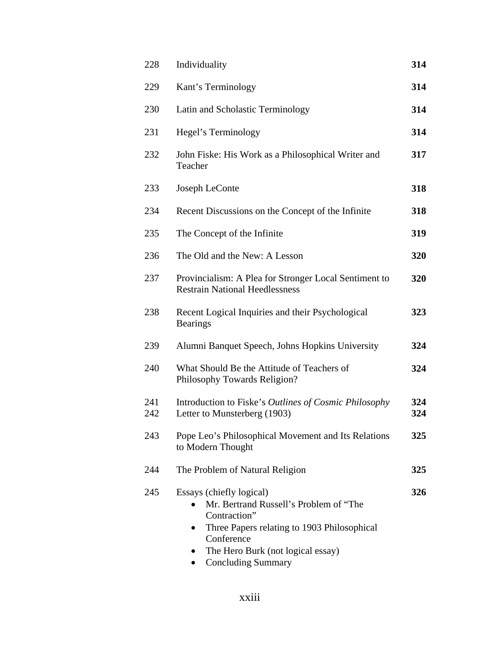| 228        | Individuality                                                                                                                                                                                                                               | 314        |
|------------|---------------------------------------------------------------------------------------------------------------------------------------------------------------------------------------------------------------------------------------------|------------|
| 229        | Kant's Terminology                                                                                                                                                                                                                          | 314        |
| 230        | Latin and Scholastic Terminology                                                                                                                                                                                                            | 314        |
| 231        | Hegel's Terminology                                                                                                                                                                                                                         | 314        |
| 232        | John Fiske: His Work as a Philosophical Writer and<br>Teacher                                                                                                                                                                               | 317        |
| 233        | Joseph LeConte                                                                                                                                                                                                                              | 318        |
| 234        | Recent Discussions on the Concept of the Infinite                                                                                                                                                                                           | 318        |
| 235        | The Concept of the Infinite                                                                                                                                                                                                                 | 319        |
| 236        | The Old and the New: A Lesson                                                                                                                                                                                                               | 320        |
| 237        | Provincialism: A Plea for Stronger Local Sentiment to<br><b>Restrain National Heedlessness</b>                                                                                                                                              | 320        |
| 238        | Recent Logical Inquiries and their Psychological<br><b>Bearings</b>                                                                                                                                                                         | 323        |
| 239        | Alumni Banquet Speech, Johns Hopkins University                                                                                                                                                                                             | 324        |
| 240        | What Should Be the Attitude of Teachers of<br>Philosophy Towards Religion?                                                                                                                                                                  | 324        |
| 241<br>242 | Introduction to Fiske's Outlines of Cosmic Philosophy<br>Letter to Munsterberg (1903)                                                                                                                                                       | 324<br>324 |
| 243        | Pope Leo's Philosophical Movement and Its Relations<br>to Modern Thought                                                                                                                                                                    | 325        |
| 244        | The Problem of Natural Religion                                                                                                                                                                                                             | 325        |
| 245        | Essays (chiefly logical)<br>Mr. Bertrand Russell's Problem of "The<br>Contraction"<br>Three Papers relating to 1903 Philosophical<br>$\bullet$<br>Conference<br>The Hero Burk (not logical essay)<br><b>Concluding Summary</b><br>$\bullet$ | 326        |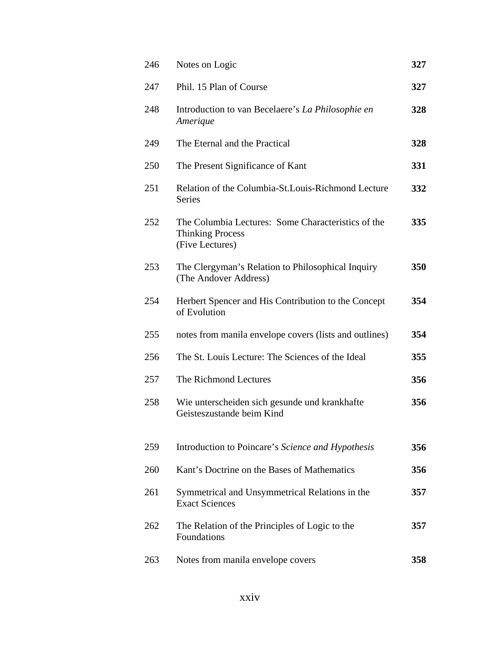| 246 | Notes on Logic                                                                                   | 327 |
|-----|--------------------------------------------------------------------------------------------------|-----|
| 247 | Phil. 15 Plan of Course                                                                          | 327 |
| 248 | Introduction to van Becelaere's La Philosophie en<br>Amerique                                    | 328 |
| 249 | The Eternal and the Practical                                                                    | 328 |
| 250 | The Present Significance of Kant                                                                 | 331 |
| 251 | Relation of the Columbia-St. Louis-Richmond Lecture<br>Series                                    | 332 |
| 252 | The Columbia Lectures: Some Characteristics of the<br><b>Thinking Process</b><br>(Five Lectures) | 335 |
| 253 | The Clergyman's Relation to Philosophical Inquiry<br>(The Andover Address)                       | 350 |
| 254 | Herbert Spencer and His Contribution to the Concept<br>of Evolution                              | 354 |
| 255 | notes from manila envelope covers (lists and outlines)                                           | 354 |
| 256 | The St. Louis Lecture: The Sciences of the Ideal                                                 | 355 |
| 257 | The Richmond Lectures                                                                            | 356 |
| 258 | Wie unterscheiden sich gesunde und krankhafte<br>Geisteszustande beim Kind                       | 356 |
| 259 | Introduction to Poincare's Science and Hypothesis                                                | 356 |
| 260 | Kant's Doctrine on the Bases of Mathematics                                                      | 356 |
| 261 | Symmetrical and Unsymmetrical Relations in the<br><b>Exact Sciences</b>                          | 357 |
| 262 | The Relation of the Principles of Logic to the<br>Foundations                                    | 357 |
| 263 | Notes from manila envelope covers                                                                | 358 |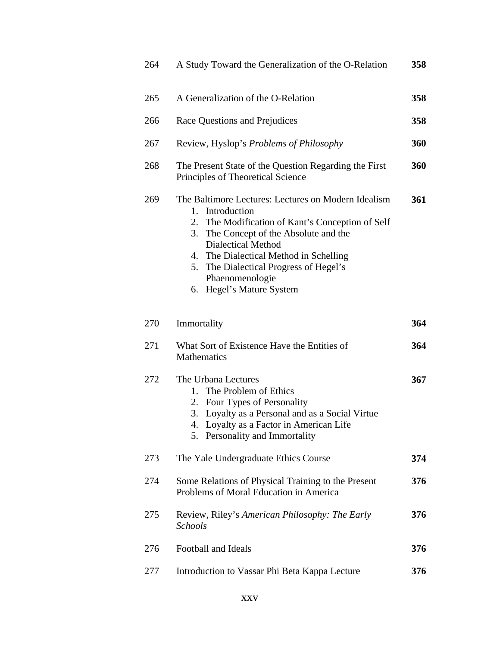| 264 | A Study Toward the Generalization of the O-Relation                                                                                                                                                                                                                                                                                           | 358 |
|-----|-----------------------------------------------------------------------------------------------------------------------------------------------------------------------------------------------------------------------------------------------------------------------------------------------------------------------------------------------|-----|
| 265 | A Generalization of the O-Relation                                                                                                                                                                                                                                                                                                            | 358 |
| 266 | Race Questions and Prejudices                                                                                                                                                                                                                                                                                                                 | 358 |
| 267 | Review, Hyslop's <i>Problems of Philosophy</i>                                                                                                                                                                                                                                                                                                | 360 |
| 268 | The Present State of the Question Regarding the First<br>Principles of Theoretical Science                                                                                                                                                                                                                                                    | 360 |
| 269 | The Baltimore Lectures: Lectures on Modern Idealism<br>1. Introduction<br>The Modification of Kant's Conception of Self<br>2.<br>The Concept of the Absolute and the<br>3.<br><b>Dialectical Method</b><br>4. The Dialectical Method in Schelling<br>The Dialectical Progress of Hegel's<br>5.<br>Phaenomenologie<br>6. Hegel's Mature System | 361 |
| 270 | Immortality                                                                                                                                                                                                                                                                                                                                   | 364 |
| 271 | What Sort of Existence Have the Entities of<br><b>Mathematics</b>                                                                                                                                                                                                                                                                             | 364 |
| 272 | The Urbana Lectures<br>The Problem of Ethics<br>1.<br>2. Four Types of Personality<br>3. Loyalty as a Personal and as a Social Virtue<br>4. Loyalty as a Factor in American Life<br>5. Personality and Immortality                                                                                                                            | 367 |
| 273 | The Yale Undergraduate Ethics Course                                                                                                                                                                                                                                                                                                          | 374 |
| 274 | Some Relations of Physical Training to the Present<br>Problems of Moral Education in America                                                                                                                                                                                                                                                  | 376 |
| 275 | Review, Riley's American Philosophy: The Early<br><b>Schools</b>                                                                                                                                                                                                                                                                              | 376 |
| 276 | Football and Ideals                                                                                                                                                                                                                                                                                                                           | 376 |
| 277 | Introduction to Vassar Phi Beta Kappa Lecture                                                                                                                                                                                                                                                                                                 | 376 |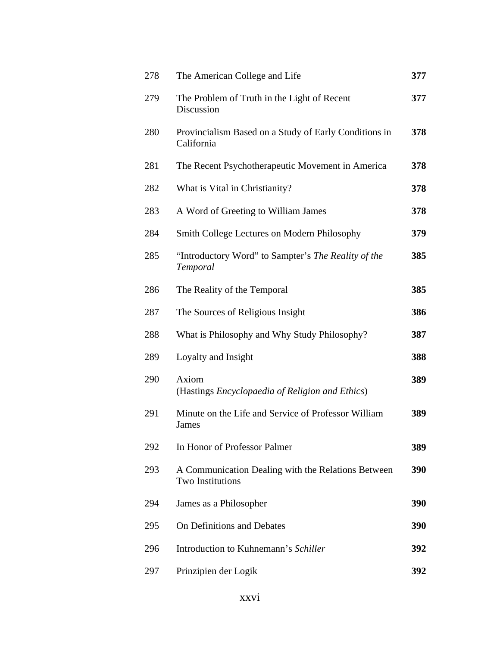| 278 | The American College and Life                                                 | 377 |
|-----|-------------------------------------------------------------------------------|-----|
| 279 | The Problem of Truth in the Light of Recent<br>Discussion                     | 377 |
| 280 | Provincialism Based on a Study of Early Conditions in<br>California           | 378 |
| 281 | The Recent Psychotherapeutic Movement in America                              | 378 |
| 282 | What is Vital in Christianity?                                                | 378 |
| 283 | A Word of Greeting to William James                                           | 378 |
| 284 | Smith College Lectures on Modern Philosophy                                   | 379 |
| 285 | "Introductory Word" to Sampter's The Reality of the<br>Temporal               | 385 |
| 286 | The Reality of the Temporal                                                   | 385 |
| 287 | The Sources of Religious Insight                                              | 386 |
| 288 | What is Philosophy and Why Study Philosophy?                                  | 387 |
| 289 | Loyalty and Insight                                                           | 388 |
| 290 | Axiom<br>(Hastings <i>Encyclopaedia of Religion and Ethics</i> )              | 389 |
| 291 | Minute on the Life and Service of Professor William<br><b>James</b>           | 389 |
| 292 | In Honor of Professor Palmer                                                  | 389 |
| 293 | A Communication Dealing with the Relations Between<br><b>Two Institutions</b> | 390 |
| 294 | James as a Philosopher                                                        | 390 |
| 295 | On Definitions and Debates                                                    | 390 |
| 296 | Introduction to Kuhnemann's Schiller                                          | 392 |
| 297 | Prinzipien der Logik                                                          | 392 |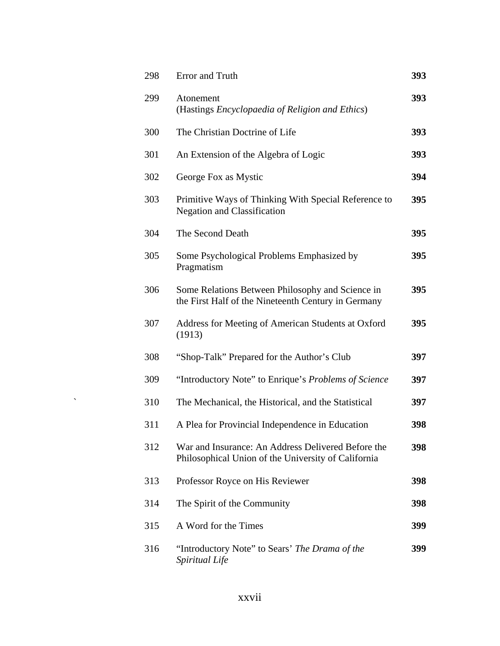| 298 | Error and Truth                                                                                           | 393 |
|-----|-----------------------------------------------------------------------------------------------------------|-----|
| 299 | Atonement<br>(Hastings Encyclopaedia of Religion and Ethics)                                              | 393 |
| 300 | The Christian Doctrine of Life                                                                            | 393 |
| 301 | An Extension of the Algebra of Logic                                                                      | 393 |
| 302 | George Fox as Mystic                                                                                      | 394 |
| 303 | Primitive Ways of Thinking With Special Reference to<br><b>Negation and Classification</b>                | 395 |
| 304 | The Second Death                                                                                          | 395 |
| 305 | Some Psychological Problems Emphasized by<br>Pragmatism                                                   | 395 |
| 306 | Some Relations Between Philosophy and Science in<br>the First Half of the Nineteenth Century in Germany   | 395 |
| 307 | Address for Meeting of American Students at Oxford<br>(1913)                                              | 395 |
| 308 | "Shop-Talk" Prepared for the Author's Club                                                                | 397 |
| 309 | "Introductory Note" to Enrique's Problems of Science                                                      | 397 |
| 310 | The Mechanical, the Historical, and the Statistical                                                       | 397 |
| 311 | A Plea for Provincial Independence in Education                                                           | 398 |
| 312 | War and Insurance: An Address Delivered Before the<br>Philosophical Union of the University of California | 398 |
| 313 | Professor Royce on His Reviewer                                                                           | 398 |
| 314 | The Spirit of the Community                                                                               | 398 |
| 315 | A Word for the Times                                                                                      | 399 |
| 316 | "Introductory Note" to Sears' The Drama of the<br>Spiritual Life                                          | 399 |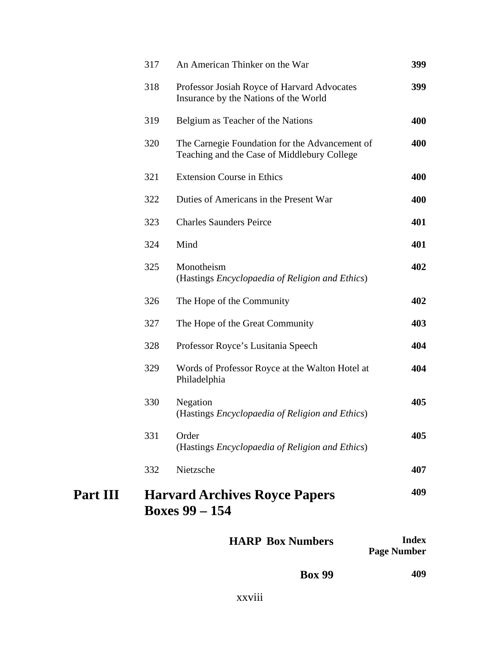|                 |     | <b>HARP Box Numbers</b>                                                                       | <b>Index</b> |
|-----------------|-----|-----------------------------------------------------------------------------------------------|--------------|
| <b>Part III</b> |     | <b>Harvard Archives Royce Papers</b><br><b>Boxes 99 – 154</b>                                 | 409          |
|                 | 332 | Nietzsche                                                                                     | 407          |
|                 | 331 | Order<br>(Hastings Encyclopaedia of Religion and Ethics)                                      | 405          |
|                 | 330 | Negation<br>(Hastings Encyclopaedia of Religion and Ethics)                                   | 405          |
|                 | 329 | Words of Professor Royce at the Walton Hotel at<br>Philadelphia                               | 404          |
|                 | 328 | Professor Royce's Lusitania Speech                                                            | 404          |
|                 | 327 | The Hope of the Great Community                                                               | 403          |
|                 | 326 | The Hope of the Community                                                                     | 402          |
|                 | 325 | Monotheism<br>(Hastings <i>Encyclopaedia of Religion and Ethics</i> )                         | 402          |
|                 | 324 | Mind                                                                                          | 401          |
|                 | 323 | <b>Charles Saunders Peirce</b>                                                                | 401          |
|                 | 322 | Duties of Americans in the Present War                                                        | 400          |
|                 | 321 | <b>Extension Course in Ethics</b>                                                             | 400          |
|                 | 320 | The Carnegie Foundation for the Advancement of<br>Teaching and the Case of Middlebury College | 400          |
|                 | 319 | Belgium as Teacher of the Nations                                                             | 400          |
|                 | 318 | Professor Josiah Royce of Harvard Advocates<br>Insurance by the Nations of the World          | 399          |
|                 | 317 | An American Thinker on the War                                                                | 399          |

| ------             |
|--------------------|
| <b>Page Number</b> |

| <b>Box 99</b> | 409 |
|---------------|-----|
|               |     |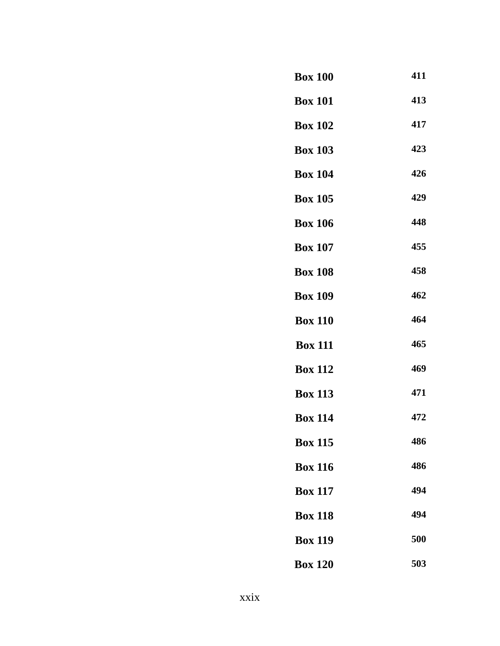### **Box 100 411**

 **Box 101 413**

**Box 102 417**

 **Box 103 423**

- **Box 104 426**
- **Box 105 429**
- **Box 106 448**
- **Box 107 455**
- **Box 108 458**
- **Box 109 462**
- **Box 110 464**
- **Box 111 465**
- **Box 112 469**
- **Box 113 471**
- **Box 114 472**
- **Box 115 486**
- **Box 116 486**
- **Box 117 494**
- **Box 118 494**
- **Box 119 500**
- **Box 120 503**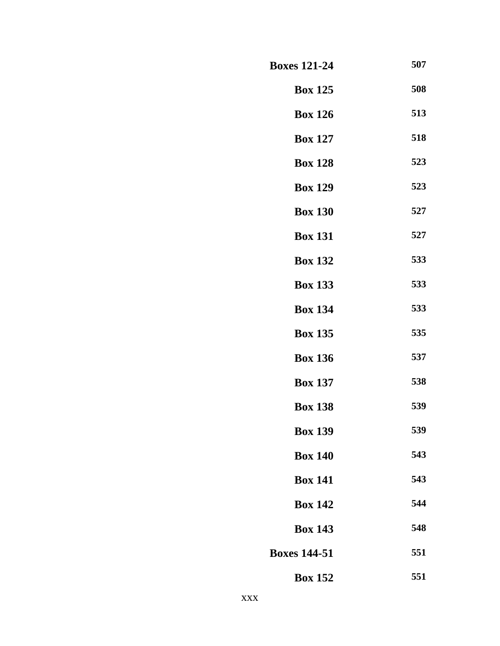| <b>Boxes 121-24</b> | 507 |
|---------------------|-----|
| <b>Box 125</b>      | 508 |
| <b>Box 126</b>      | 513 |
| <b>Box 127</b>      | 518 |
| <b>Box 128</b>      | 523 |
| <b>Box 129</b>      | 523 |
| <b>Box 130</b>      | 527 |
| <b>Box 131</b>      | 527 |
| <b>Box 132</b>      | 533 |
| <b>Box 133</b>      | 533 |
| <b>Box 134</b>      | 533 |
| <b>Box 135</b>      | 535 |
| <b>Box 136</b>      | 537 |
| <b>Box 137</b>      | 538 |
| <b>Box 138</b>      | 539 |
| <b>Box 139</b>      | 539 |
| <b>Box 140</b>      | 543 |
| <b>Box 141</b>      | 543 |
| <b>Box 142</b>      | 544 |
| <b>Box 143</b>      | 548 |
| <b>Boxes 144-51</b> | 551 |
| <b>Box 152</b>      | 551 |
|                     |     |